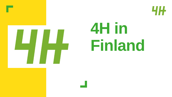



# **4H in Finland**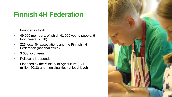#### **Finnish 4H Federation**

- Founded in 1928
- 49 000 members, of which 41 000 young people, 6 to 28 years (2018)
- 225 local 4H-associations and the Finnish 4H Federation (national office)
- 3 600 volunteers
- Politically independent
- Financed by the Ministry of Agriculture (EUR 3,9 million 2018) and municipalities (at local level)

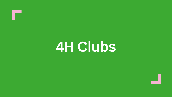**4H Clubs**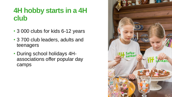### **4H hobby starts in a 4H club**

- 3 000 clubs for kids 6-12 years
- 3 700 club leaders, adults and teenagers
- During school holidays 4Hassociations offer popular day camps

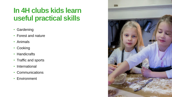### **In 4H clubs kids learn useful practical skills**

- Gardening
- Forest and nature
- Animals
- Cooking
- Handicrafts
- Traffic and sports
- International
- Communications
- Environment

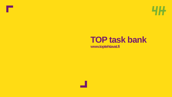

## **TOP task bank**

**www.toptehtavat.fi**

×.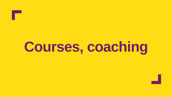**Courses, coaching**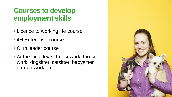### **Courses to develop employment skills**

- Licence to working life course
- 4H Enterprise course
- Club leader course
- At the local level: housework, forest work, dogsitter, catsitter, babysitter, garden work etc.

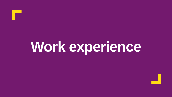# **Work experience**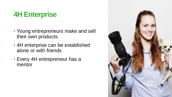### **4H Enterprise**

- Young entrepreneurs make and sell their own products
- 4H enterprise can be established alone or with friends
- Every 4H entrepreneur has a mentor

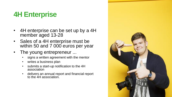### **4H Enterprise**

- 4H enterprise can be set up by a 4H member aged 13-28
- Sales of a 4H enterprise must be within 50 and 7 000 euros per year
- The young entrepreneur ...
	- signs a written agreement with the mentor
	- writes a business plan
	- submits a start-up notification to the 4H association
	- delivers an annual report and financial report to the 4H association.

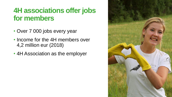#### **4H associations offer jobs for members**

- Over 7 000 jobs every year
- Income for the 4H members over 4,2 million eur (2018)
- 4H Association as the employer

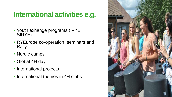### **International activities e.g.**

- Youth exhange programs (IFYE, SIRYE)
- RYEurope co-operation: seminars and Rally
- Nordic camps
- Global 4H day
- International projects
- International themes in 4H clubs